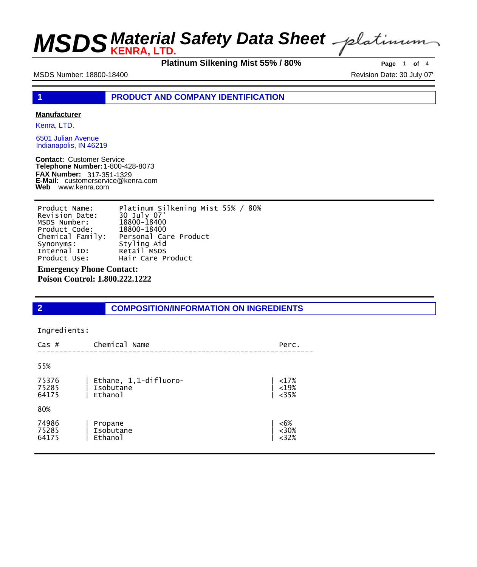**MSDS** *KENRA, LTD.* Safety Data Sheet

**Platinum Silkening Mist 55% / 80% Page** <sup>1</sup> **of** <sup>4</sup>

MSDS Number: 18800-18400 MSDS Number: 18800-18400

**1 PRODUCT AND COMPANY IDENTIFICATION**

### **Manufacturer**

Kenra, LTD.

6501 Julian Avenue Indianapolis, IN 46219

**Contact:** Customer Service **Telephone Number:** 1-800-428-8073 **FAX Number: FAX Number:** 317-351-1329<br>**E-Mail:** customerservice@kenra.com **Web** www.kenra.com

| Product Name:    | Platinum Silkening Mist 55% / 80% |
|------------------|-----------------------------------|
| Revision Date:   | 30 July 07'                       |
| MSDS Number:     | 18800-18400                       |
| Product Code:    | 18800-18400                       |
| Chemical Family: | Personal Care Product             |
| Synonyms:        | Styling Aid                       |
| Internal ID:     | Retail MSDS                       |
| Product Use:     | Hair Care Product                 |

**Emergency Phone Contact:** 

**Poison Control: 1.800.222.1222** 

## **2 COMPOSITION/INFORMATION ON INGREDIENTS**

### Ingredients:

| Cas $#$                 | Chemical Name                                 | Perc.                |
|-------------------------|-----------------------------------------------|----------------------|
| 55%                     |                                               |                      |
| 75376<br>75285<br>64175 | Ethane, 1,1-difluoro-<br>Isobutane<br>Ethano1 | <17%<br><19%<br><35% |
| 80%                     |                                               |                      |
| 74986<br>75285<br>64175 | Propane<br>Isobutane<br>Ethano1               | <6%<br><30%<br><32%  |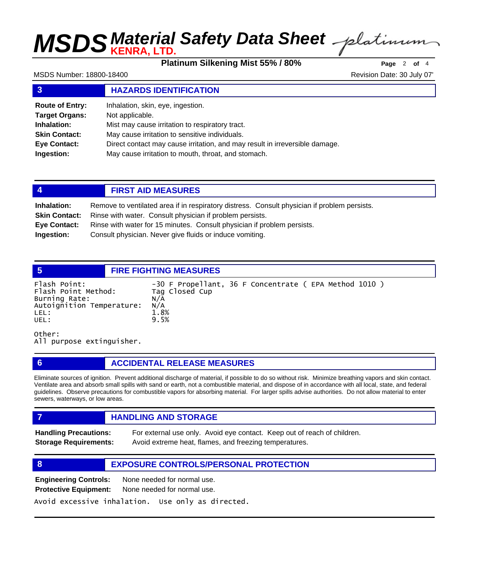# **MSDS** *KENRA, LTD.* Safety Data Sheet

**Platinum Silkening Mist 55% / 80% Page** <sup>2</sup> **of** <sup>4</sup>

MSDS Number: 18800-18400 **Revision Date: 30 July 07'** NSDS Number: 18800-18400

## **3 HAZARDS IDENTIFICATION**

| <b>Route of Entry:</b> | Inhalation, skin, eye, ingestion.                                           |
|------------------------|-----------------------------------------------------------------------------|
| <b>Target Organs:</b>  | Not applicable.                                                             |
| Inhalation:            | Mist may cause irritation to respiratory tract.                             |
| <b>Skin Contact:</b>   | May cause irritation to sensitive individuals.                              |
| <b>Eye Contact:</b>    | Direct contact may cause irritation, and may result in irreversible damage. |
| Ingestion:             | May cause irritation to mouth, throat, and stomach.                         |

| 4                    | <b>FIRST AID MEASURES</b>                                                                    |  |
|----------------------|----------------------------------------------------------------------------------------------|--|
| Inhalation:          | Remove to ventilated area if in respiratory distress. Consult physician if problem persists. |  |
| <b>Skin Contact:</b> | Rinse with water. Consult physician if problem persists.                                     |  |
| Eye Contact:         | Rinse with water for 15 minutes. Consult physician if problem persists.                      |  |
| Ingestion:           | Consult physician. Never give fluids or induce vomiting.                                     |  |

**5 FIRE FIGHTING MEASURES** Flash Point: -30 F Propellant, 36 F Concentrate (EPA Method 1010 )<br>Flash Point Method: Tag Closed Cup Flash Point Method: Tag<br>Burning Rate: N/A Burning Rate: N/A Autoignition Temperature: LEL: 1.8%<br>UEL: 9.5% UEL: 9.5%

Other: All purpose extinguisher.

## **6 ACCIDENTAL RELEASE MEASURES**

Eliminate sources of ignition. Prevent additional discharge of material, if possible to do so without risk. Minimize breathing vapors and skin contact. Ventilate area and absorb small spills with sand or earth, not a combustible material, and dispose of in accordance with all local, state, and federal guidelines. Observe precautions for combustible vapors for absorbing material. For larger spills advise authorities. Do not allow material to enter sewers, waterways, or low areas.

## *HANDLING AND STORAGE*

**Handling Precautions:** For external use only. Avoid eye contact. Keep out of reach of children. **Storage Requirements:** Avoid extreme heat, flames, and freezing temperatures.

## **8 EXPOSURE CONTROLS/PERSONAL PROTECTION**

**Engineering Controls:** None needed for normal use. **Protective Equipment:** None needed for normal use.

Avoid excessive inhalation. Use only as directed.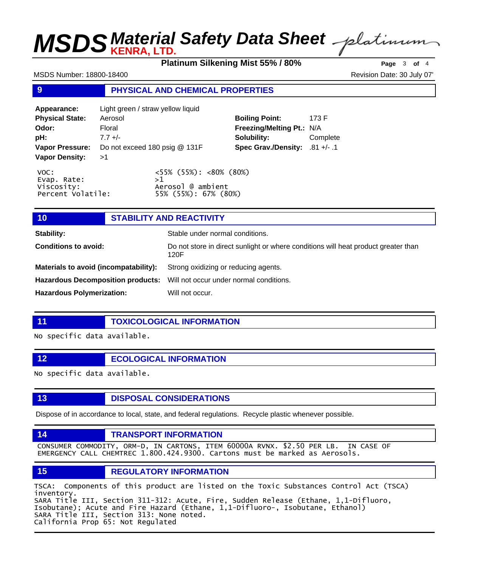# **MSDS** *KENRA, LTD.* Safety Data Sheet

**Platinum Silkening Mist 55% / 80% Page** <sup>3</sup> **of** <sup>4</sup>

MSDS Number: 18800-18400 **Revision Date: 30 July 07'** NSDS Number: 18800-18400

## **9 PHYSICAL AND CHEMICAL PROPERTIES**

| Appearance:                                            | Light green / straw yellow liquid |                                                                                 |                                |          |
|--------------------------------------------------------|-----------------------------------|---------------------------------------------------------------------------------|--------------------------------|----------|
| <b>Physical State:</b>                                 | Aerosol                           |                                                                                 | <b>Boiling Point:</b>          | 173 F    |
| Odor:                                                  | Floral                            |                                                                                 | Freezing/Melting Pt.: N/A      |          |
| pH:                                                    | $7.7 +/-$                         |                                                                                 | Solubility:                    | Complete |
| <b>Vapor Pressure:</b>                                 | Do not exceed 180 psig @ 131F     |                                                                                 | Spec Grav./Density: .81 +/- .1 |          |
| <b>Vapor Density:</b>                                  | >1                                |                                                                                 |                                |          |
| VOC:<br>Evap. Rate:<br>Viscosity:<br>Percent Volatile: |                                   | $<55\%$ (55%): $<80\%$ (80%)<br>>1<br>Aerosol @ ambient<br>55% (55%): 67% (80%) |                                |          |

## **10 STABILITY AND REACTIVITY**

| <b>Stability:</b>                                                                | Stable under normal conditions.                                                            |
|----------------------------------------------------------------------------------|--------------------------------------------------------------------------------------------|
| <b>Conditions to avoid:</b>                                                      | Do not store in direct sunlight or where conditions will heat product greater than<br>120F |
| Materials to avoid (incompatability):                                            | Strong oxidizing or reducing agents.                                                       |
| <b>Hazardous Decomposition products:</b> Will not occur under normal conditions. |                                                                                            |
| <b>Hazardous Polymerization:</b>                                                 | Will not occur.                                                                            |

**11 TOXICOLOGICAL INFORMATION**

No specific data available.

**12 ECOLOGICAL INFORMATION** 

No specific data available.

**13 DISPOSAL CONSIDERATIONS** 

Dispose of in accordance to local, state, and federal regulations. Recycle plastic whenever possible.

## **14 TRANSPORT INFORMATION**

CONSUMER COMMODITY, ORM-D, IN CARTONS, ITEM 60000A RVNX. \$2.50 PER LB. IN CASE OF EMERGENCY CALL CHEMTREC 1.800.424.9300. Cartons must be marked as Aerosols.

## **15 REGULATORY INFORMATION**

TSCA: Components of this product are listed on the Toxic Substances Control Act (TSCA) inventory. SARA Title III, Section 311-312: Acute, Fire, Sudden Release (Ethane, 1,1-Difluoro, Isobutane); Acute and Fire Hazard (Ethane, 1,1-Difluoro-, Isobutane, Ethanol) SARA Title III, Section 313: None noted. California Prop 65: Not Regulated